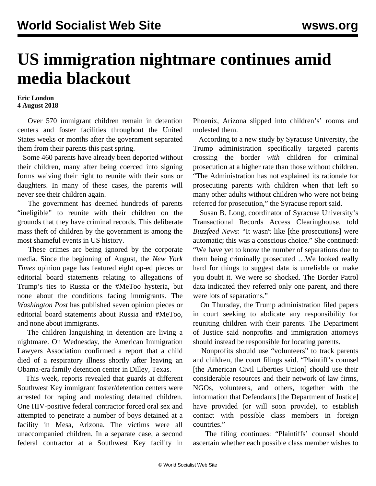## **US immigration nightmare continues amid media blackout**

## **Eric London 4 August 2018**

 Over 570 immigrant children remain in detention centers and foster facilities throughout the United States weeks or months after the government separated them from their parents this past spring.

 Some 460 parents have already been deported without their children, many after being coerced into signing forms waiving their right to reunite with their sons or daughters. In many of these cases, the parents will never see their children again.

 The government has deemed hundreds of parents "ineligible" to reunite with their children on the grounds that they have criminal records. This deliberate mass theft of children by the government is among the most shameful events in US history.

 These crimes are being ignored by the corporate media. Since the beginning of August, the *New York Times* opinion page has featured eight op-ed pieces or editorial board statements relating to allegations of Trump's ties to Russia or the #MeToo hysteria, but none about the conditions facing immigrants. The *Washington Post* has published seven opinion pieces or editorial board statements about Russia and #MeToo, and none about immigrants.

 The children languishing in detention are living a nightmare. On Wednesday, the American Immigration Lawyers Association confirmed a report that a child died of a respiratory illness shortly after leaving an Obama-era family detention center in Dilley, Texas.

 This week, reports revealed that guards at different Southwest Key immigrant foster/detention centers were arrested for raping and molesting detained children. One HIV-positive federal contractor forced oral sex and attempted to penetrate a number of boys detained at a facility in Mesa, Arizona. The victims were all unaccompanied children. In a separate case, a second federal contractor at a Southwest Key facility in

Phoenix, Arizona slipped into children's' rooms and molested them.

 According to a new study by Syracuse University, the Trump administration specifically targeted parents crossing the border *with* children for criminal prosecution at a higher rate than those without children. "The Administration has not explained its rationale for prosecuting parents with children when that left so many other adults without children who were not being referred for prosecution," the Syracuse report said.

 Susan B. Long, coordinator of Syracuse University's Transactional Records Access Clearinghouse, told *Buzzfeed News*: "It wasn't like [the prosecutions] were automatic; this was a conscious choice." She continued: "We have yet to know the number of separations due to them being criminally prosecuted …We looked really hard for things to suggest data is unreliable or make you doubt it. We were so shocked. The Border Patrol data indicated they referred only one parent, and there were lots of separations."

 On Thursday, the Trump administration filed papers in court seeking to abdicate any responsibility for reuniting children with their parents. The Department of Justice said nonprofits and immigration attorneys should instead be responsible for locating parents.

 Nonprofits should use "volunteers" to track parents and children, the court filings said. "Plaintiff's counsel [the American Civil Liberties Union] should use their considerable resources and their network of law firms, NGOs, volunteers, and others, together with the information that Defendants [the Department of Justice] have provided (or will soon provide), to establish contact with possible class members in foreign countries."

 The filing continues: "Plaintiffs' counsel should ascertain whether each possible class member wishes to